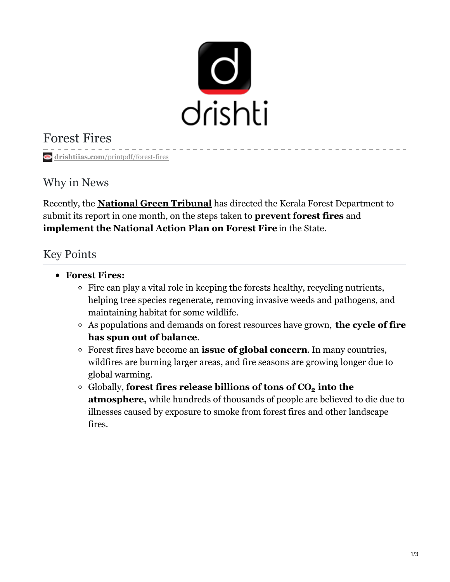

# Forest Fires

**drishtiias.com**[/printpdf/forest-fires](https://www.drishtiias.com/printpdf/forest-fires)

## Why in News

Recently, the **[National](https://www.drishtiias.com/important-institutions/drishti-specials-important-institutions-national-institutions/national-green-tribunal-ngt) Green Tribunal** has directed the Kerala Forest Department to submit its report in one month, on the steps taken to **prevent forest fires** and **implement the National Action Plan on Forest Fire** in the State.

### Key Points

- **Forest Fires:**
	- $\circ$  Fire can play a vital role in keeping the forests healthy, recycling nutrients, helping tree species regenerate, removing invasive weeds and pathogens, and maintaining habitat for some wildlife.
	- As populations and demands on forest resources have grown, **the cycle of fire has spun out of balance**.
	- Forest fires have become an **issue of global concern**. In many countries, wildfires are burning larger areas, and fire seasons are growing longer due to global warming.
	- Globally, **forest fires release billions of tons of CO into the 2 atmosphere,** while hundreds of thousands of people are believed to die due to illnesses caused by exposure to smoke from forest fires and other landscape fires.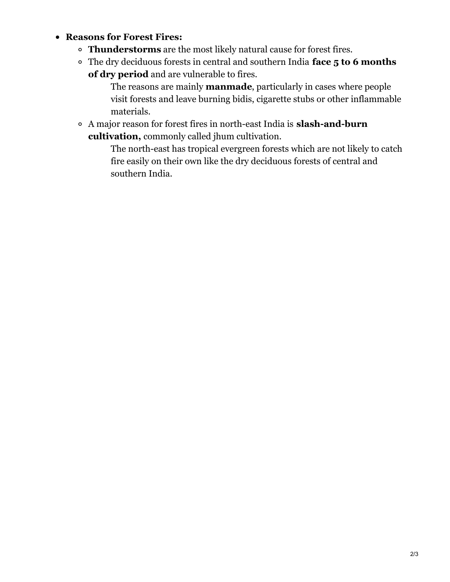#### **Reasons for Forest Fires:**

- **Thunderstorms** are the most likely natural cause for forest fires.
- The dry deciduous forests in central and southern India **face 5 to 6 months of dry period** and are vulnerable to fires.

The reasons are mainly **manmade**, particularly in cases where people visit forests and leave burning bidis, cigarette stubs or other inflammable materials.

A major reason for forest fires in north-east India is **slash-and-burn cultivation,** commonly called jhum cultivation.

> The north-east has tropical evergreen forests which are not likely to catch fire easily on their own like the dry deciduous forests of central and southern India.